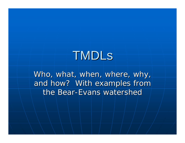# TMDLs

Who, what, when, where, why, and how? With examples from the Bear-Evans watershed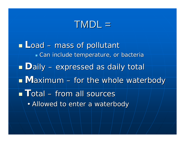### $\sf{TMDL} =$

**Load – mass of pollutant**  $\blacksquare$  Can include temperature, or bacteria **Daily – expressed as daily total Maximum** – for the whole waterbody **T**otal – from all sources • Allowed to enter a waterbody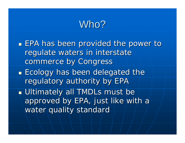### Who?

 $\blacksquare$  EPA has been provided the power to regulate waters in interstate commerce by Congress **Ecology has been delegated the** regulatory authority by EPA Ultimately all TMDLs must be approved by EPA, just like with a water quality standard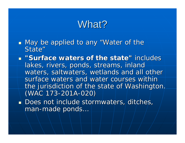### What?

- $\mathbb{R}^2$  $\blacksquare$  May be applied to any "Water of the State"
- **Example 1 Surface waters of the state" includes includes** lakes, rivers, ponds, streams, inland waters, saltwaters, wetlands and all other surface waters and water courses within the jurisdiction of the state of Washington. (WAC 173-201A-020)
- $\blacksquare$  Does not include stormwaters, ditches, man-made ponds...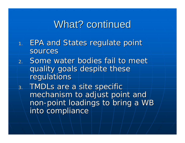### What? continued

- 1.EPA and States regulate point sources
- 2. Some water bodies fail to meet quality goals despite these regulations
- 3.TMDLs are a site specific mechanism to adjust point and non -point loadings to bring a WB point loadings to bring a WB into compliance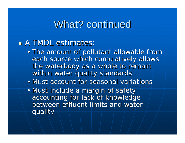### What? continued

#### **A TMDL estimates:**

- The amount of pollutant allowable from each source which cumulatively allows the waterbody as a whole to remain within water quality standards
- Must account for seasonal variations
- Must include a margin of safety accounting for lack of knowledge between effluent limits and water quality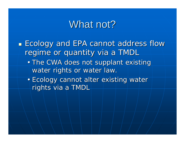### What not?

- **Ecology and EPA cannot address flow** regime or quantity via a TMDL
	- The CWA does not supplant existing water rights or water law.
	- Ecology cannot alter existing water rights via a TMDL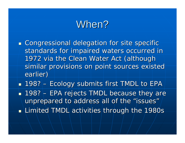### When?

- $\mathbb{Z}^2$ **EXCongressional delegation for site specific** standards for impaired waters occurred in 1972 via the Clean Water Act (although similar provisions on point sources existed earlier)
- $\mathbb{R}^2$  $\textcolor{red}{\bullet}$  198?  $\textcolor{red}{\bullet}$  Ecology submits first TMDL to EPA  $\mathbb{R}^2$  $\textcolor{red}{\blacksquare}$  198?  $\vdash$  EPA rejects TMDL because they are unprepared to address all of the "issues"  $\mathbb{R}^2$  $\blacksquare$  Limited TMDL activities through the 1980s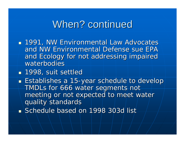### When? continued

- 1991, NW Environmental Law Advocates and NW Environmental Defense sue EPA and Ecology for not addressing impaired waterbodies
- **1998, suit settled 1998**, suit settled
- $\blacksquare$  Establishes a 15-year schedule to develop TMDLs for 666 water segments not meeting or not expected to meet water quality standards
- **Schedule based on 1998 303d list** Schedule based on 1998 303d list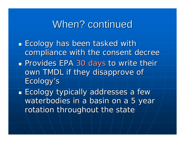### When? continued

- $\blacksquare$  Ecology has been tasked with compliance with the consent decree **Provides EPA 30 days to write their and September** own TMDL if they disapprove of Ecology's **Ecology typically addresses a few** waterbodies in a basin on a  $5$  year
	- rotation throughout the state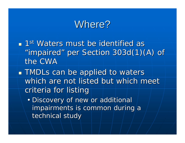### Where?

- $\blacksquare$  1st Waters must be identified as "impaired" per Section 303d(1)(A) of the CWA
- **TMDLs can be applied to waters** which are not listed but which meet criteria for listing
	- Discovery of new or additional impairments is common during a technical study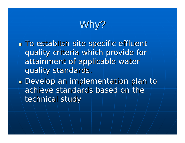# Why?

 $\blacksquare$  To establish site specific effluent quality criteria which provide for quality criteria which provide for attainment of applicable water quality standards.

**Develop an implementation plan to** achieve standards based on the technical study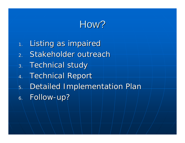# How?

1.Listing as impaired 2.. Stakeholder outreach 3..  $\sf Technical$  study  $\overline{4}$ . **Technical Report** 5.Detailed Implementation Plan 6.Follow-up?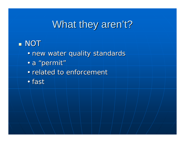## What they aren't?

### NOT

- new water quality standards
- a "permit"
- related to enforcement
- fast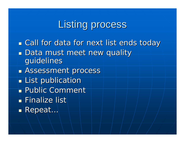## Listing process

**.** Call for data for next list ends today

- **Data must meet new quality** guidelines
- **BASSESSMENt process**
- $\blacksquare$  List publication
- **Public Comment**
- $\blacksquare$  Finalize list
- $\blacksquare$ Repeat...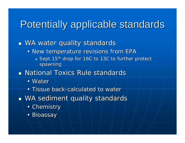## Potentially applicable standards

#### $\mathbb{Z}^2$  $\blacksquare$  WA water quality standards

- New temperature revisions from EPA
	- $\blacksquare$  Sept 15<sup>th</sup> drop for 16C to 13C to further protect spawning
- **National Toxics Rule standards** National Toxics Rule standards
	- Water
	- Tissue back-calculated to water
- $\mathbb{R}^2$  $\blacksquare$  WA sediment quality standards
	- Chemistry
	- Bioassay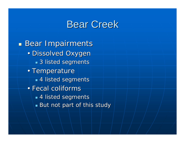### **Bear Creek**

**Bear Impairments** • Dissolved Oxygen  $\textcolor{red}{\bullet}$  3 listed segments • Temperature  $\textcolor{red}{\bullet}$  4 listed segments • Fecal coliforms  $\textcolor{red}{\bullet}$  4 listed segments  $\blacksquare$  But not part of this study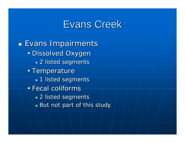### Evans Creek

**Evans Impairments** • Dissolved Oxygen  $\textcolor{red}{\bullet}$  2 listed segments • Temperature  $\textcolor{red}{\blacksquare}$  1 listed segments • Fecal coliforms  $\textcolor{red}{\bullet}$  2 listed segments  $\blacksquare$  But not part of this study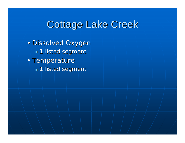# Cottage Lake Creek

• Dissolved Oxyger  $\blacksquare$  1 listed segment • Temperature  $\blacksquare$  1 listed segment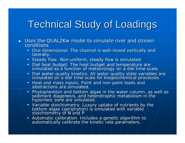# **Technical Study of Loadings**

- **Uses the QUAL2Kw model to simulate river and stream** conditions
	- One dimensional. The channel is well-mixed vertically and laterally.
	- Steady flow. Non-uniform, steady flow is simulated.
	- Diel heat budget. The heat budget and temperature are<br>simulated as a function of meteorology on a diel time scale.
	- Diel water-quality kinetics. All water quality state variables are<br>Simulated on a diel time scale for biogeochemical processes.
	- Heat and mass inputs. Point and non-point loads and abstractions are simulated.
	- Phytoplankton and bottom algae in the water column, as well as sediment diagenesis, and heterotrophic metabolism in the<br>hyporheic zone are simulated.
	- Variable stoichiometry. Luxury uptake of nutrients by the bottom algae (periphyton) is simulated with variable stoichiometry of N and P.
	- Automatic calibration. Includes a genetic algorithm to  $\overline{\phantom{a}}$  automatically calibrate the kinetic rate parameters.  $\overline{\phantom{a}}$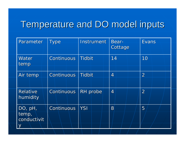### Temperature and DO model inputs Temperature and DO model inputs

| Parameter                       | Type              | Instrument    | <b>Bear-</b><br>Cottage | <b>Evans</b>   |
|---------------------------------|-------------------|---------------|-------------------------|----------------|
| Water<br>temp                   | <b>Continuous</b> | <b>Tidbit</b> | 14                      | 10             |
| Air temp                        | <b>Continuous</b> | <b>Tidbit</b> | $\overline{4}$          | $\overline{2}$ |
| <b>Relative</b><br>humidity     | Continuous        | RH probe      | $\overline{4}$          | $\overline{2}$ |
| DO, pH,<br>temp,<br>conductivit | Continuous        | <b>YSI</b>    | 8                       | 5              |
| У                               |                   |               |                         |                |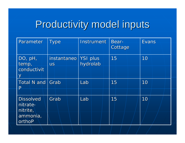# Productivity model inputs Productivity model inputs

| Parameter                                  | <b>Type</b>                         | Instrument | Bear-<br>Cottage | <b>Evans</b> |
|--------------------------------------------|-------------------------------------|------------|------------------|--------------|
| DO, pH,<br>temp,<br>conductivit            | instantaneo   YSI plus<br><b>US</b> | hydrolab   | 15               | 10           |
| $\overline{\lambda}$<br>Total N and        | Grab                                | Lab        | 15               | 10           |
| $\mathsf{P}$<br><b>Dissolved</b>           | Grab                                | Lab        | 15               | 10           |
| nitrate-<br>nitrite,<br>ammonia,<br>orthoP |                                     |            |                  |              |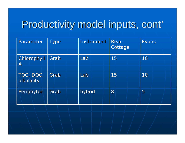# Productivity model inputs, cont'

| Parameter                   | <b>Type</b> | Instrument | <b>Bear-</b><br>Cottage | <b>Evans</b> |
|-----------------------------|-------------|------------|-------------------------|--------------|
| Chlorophyll<br>$\mathsf{A}$ | Grab        | Lab        | 15                      | 10           |
| TOC, DOC,<br>alkalinity     | Grab        | Lab        | 15                      | 10           |
| Periphyton                  | Grab        | hybrid     | 8                       | 5            |
|                             |             |            |                         |              |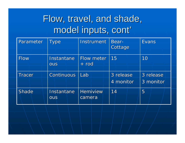# Flow, travel, and shade, model inputs, cont'

| Parameter     | <b>Type</b>              | Instrument                   | Bear-<br>Cottage       | <b>Evans</b>           |
|---------------|--------------------------|------------------------------|------------------------|------------------------|
| Flow          | Instantane<br><b>OUS</b> | <b>Flow meter</b><br>$+$ rod | 15                     | 10                     |
| <b>Tracer</b> | Continuous               | Lab                          | 3 release<br>4 monitor | 3 release<br>3 monitor |
| <b>Shade</b>  | Instantane<br><b>OUS</b> | <b>Hemiview</b><br>camera    | 14                     | 5                      |